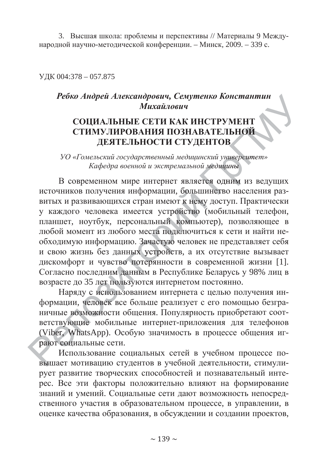3. Высшая школа: проблемы и перспективы // Материалы 9 Международной научно-методической конференции. – Минск, 2009. – 339 с.

ɍȾɄ 004:378 – 057.875

# $P$ ебко Андрей Александрович, Семутенко Константин **Михайлович HIT**<br> **EXAMPLE STATE**

#### СОЦИАЛЬНЫЕ СЕТИ КАК ИНСТРУМЕНТ СТИМУЛИРОВАНИЯ ПОЗНАВАТЕЛЬНОЙ ДЕЯТЕЛЬНОСТИ СТУДЕНТОВ Ɇ

СТИМУУНИ ОБАНИЯ ПОЗНАВАТЕЛЬНОЙ<br>ДЕЯТЕЛЬНОСТИ СТУДЕНТОВ<br>УО «Гомельский государственный медицинский университет» Кафедра военной и экстремальной медицины УО «Гомельский государственный медицинский университет»<br>Кафедра военной и экстремальной медицины<br>В современном мире интернет является одним из ведущих

Кафедра военной и экстремальной медицины<br>В современном мире интернет является одним из ведущих<br>источников получения информации, большинство населения развитых и развивающихся стран имеют к нему доступ. Практически источников получения информации, большинство населения раз-<br>витых и развивающихся стран имеют к нему доступ. Практически<br>у каждого человека имеется устройство (мобильный телефон,<br>планшет, ноутбук, персональный компьютер), планшет, ноутбук, персональный компьютер), позволяющее в любой момент из любого места подключиться к сети и найти необходимую информацию. Зачастую человек не представляет себя и свою жизнь без данных устройств, а их отсутствие вызывает дискомфорт и чувство потерянности в современной жизни [1]. и свою жизнь оез данных устроиств, а их отсутствие вызывает<br>дискомфорт и чувство потерянности в современной жизни [1].<br>Согласно последним данным в Республике Беларусь у 98% лиц в<br>возрасте до 35 лет пользуются интернетом п возрасте до 35 лет пользуются интернетом постоянно. . Зачас<mark>т</mark><br>ix устро<br>ioтеряні ых устройст ьный ко<br>ста подкл<br>настую чо<br>стройств acтую че

Наряду с использованием интернета с целью получения информации, человек все больше реализует с его помощью безграничные возможности общения. Популярность приобретают соответствующие мобильные интернет-приложения для телефонов (Viber, WhatsApp). Особую значимость в процессе общения играют социальные сети. etryfol<br>iber, Wl<br>от соци iber, Wha E BO3MC<br>HOЩИЕ ющие iy с исі<br>челове<br>зможно человек лет по.<br>исполн<br>ювек в использ

Использование социальных сетей в учебном процессе повышает мотивацию студентов в учебной деятельности, стимулирует развитие творческих способностей и познавательный интерес. Все эти факторы положительно влияют на формирование знаний и умений. Социальные сети дают возможность непосредственного участия в образовательном процессе, в управлении, в оценке качества образования, в обсуждении и создании проектов,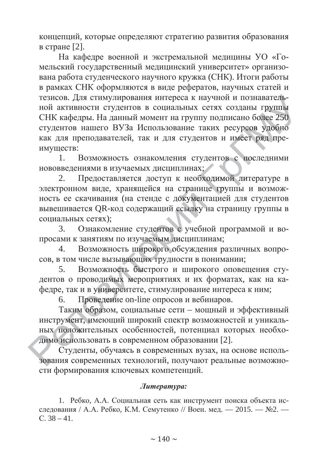концепций, которые определяют стратегию развития образования в стране  $[2]$ .

На кафедре военной и экстремальной медицины УО «Гомельский государственный медицинский университет» организована работа студенческого научного кружка (СНК). Итоги работы в рамках СНК оформляются в виде рефератов, научных статей и тезисов. Для стимулирования интереса к научной и познавательной активности студентов в социальных сетях созданы группы СНК кафедры. На данный момент на группу подписано более 250 студентов нашего ВУЗа Использование таких ресурсов удобно как для преподавателей, так и для студентов и имеет ряд пре-<br>имуществ:<br>1. Возможность ознакомления студентов с последними имуществ: т ряд пр но более 2:<br>реов удобн<br>ет ряд пр познаватель-<br>цаны группы<br>но более 250<br>рсов удобно затель-<br>руппы<br>lee 250<br>илобно

1. Возможность ознакомления студентов с последними нововведениями в изучаемых дисциплинах; гудентов с по<br>x;<br>бходимой лит

2. Предоставляется доступ к необходимой литературе в электронном виде, хранящейся на странице группы и возможность ее скачивания (на стенде с документацией для студентов вывешивается QR-код содержащий ссылку на страницу группы в социальных сетях); страниц<br><sub>І</sub>окумент<br>ссылку документац х;<br>бходимої<br>ице груг

шивается QR-код содержащии ссылку на страницу группы в<br>альных сетях);<br>3. Сзнакомление студентов с учебной программой и во-<br>ами к занятиям по изучаемым дисциплинам;<br>4. Возможность широкого обсуждения различных вопропросами к занятиям по изучаемым дисциплинам;

4. Возможность широкого обсуждения различных вопропросами к занятиям по изучаемым дисциплинам;<br>4. Возможность широкого обсуждения различн<br>сов, в том числе вызывающих трудности в понимании;<br>5. Возможность быстрого и широкого оповец

5. Возможность быстрого и широкого оповещения студентов о проводимых мероприятиях и их форматах, как на кафедре, так и в университете, стимулирование интереса к ним; проводимы<br>и в универ<br>Проведени HOCT<mark>b</mark><br>MbIX M<br>Rencute мых ме

6. Проведение on-line опросов и вебинаров.

Таким образом, социальные сети – мощный и эффективный инструмент, имеющий широкий спектр возможностей и уникальных положительных особенностей, потенциал которых необхо-димо использовать в современном образовании [2]. димо использовать в современном образовании [2]. аким оі<br>мент, и<br>эложит Meht, um и в уни<br>Проведе<br>и образе

Студенты, обучаясь в современных вузах, на основе испольдимо использовать в современном образовании [2].<br>Студенты, обучаясь в современных вузах, на основе использования современных технологий, получают реальные возможности формирования ключевых компетенций.

#### $J$ *umepamypa*:

1. Ребко, А.А. Социальная сеть как инструмент поиска объекта исследования / А.А. Ребко, К.М. Семутенко // Воен. мед. — 2015. — №2. —  $C. 38 - 41.$